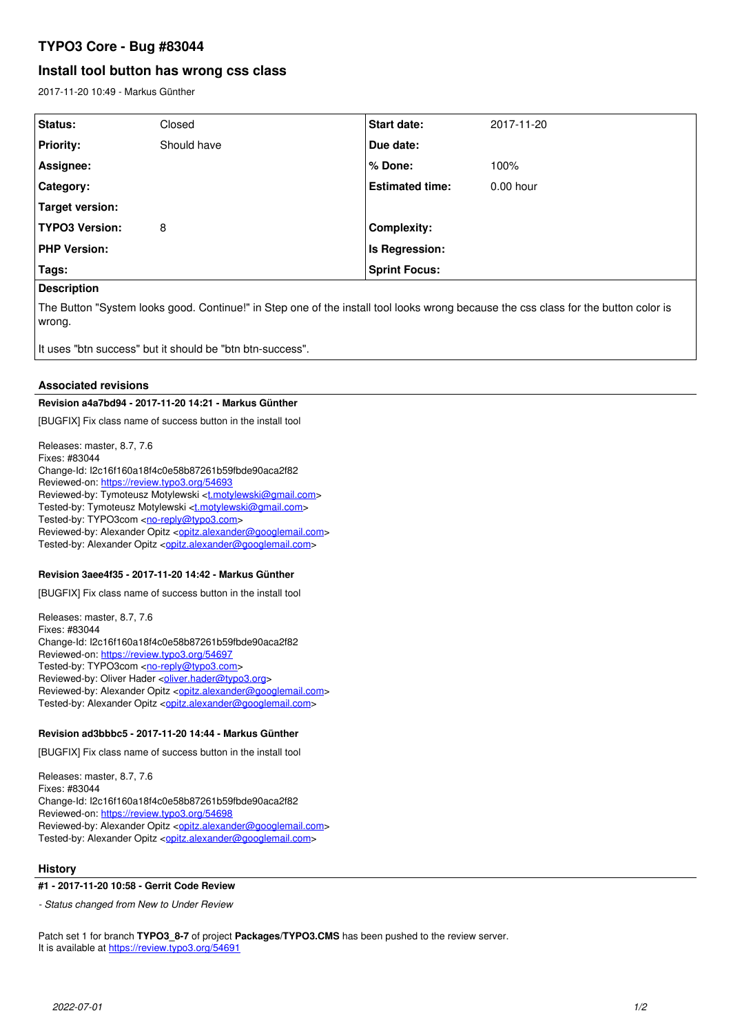# **TYPO3 Core - Bug #83044**

# **Install tool button has wrong css class**

2017-11-20 10:49 - Markus Günther

| <b>Status:</b>        | Closed      | <b>Start date:</b>     | 2017-11-20  |
|-----------------------|-------------|------------------------|-------------|
| <b>Priority:</b>      | Should have | Due date:              |             |
| Assignee:             |             | % Done:                | 100%        |
| Category:             |             | <b>Estimated time:</b> | $0.00$ hour |
| Target version:       |             |                        |             |
| <b>TYPO3 Version:</b> | 8           | <b>Complexity:</b>     |             |
| <b>PHP Version:</b>   |             | Is Regression:         |             |
| Tags:                 |             | <b>Sprint Focus:</b>   |             |
| - -                   |             |                        |             |

# **Description**

The Button "System looks good. Continue!" in Step one of the install tool looks wrong because the css class for the button color is wrong.

It uses "btn success" but it should be "btn btn-success".

# **Associated revisions**

### **Revision a4a7bd94 - 2017-11-20 14:21 - Markus Günther**

[BUGFIX] Fix class name of success button in the install tool

Releases: master, 8.7, 7.6 Fixes: #83044 Change-Id: I2c16f160a18f4c0e58b87261b59fbde90aca2f82 Reviewed-on:<https://review.typo3.org/54693> Reviewed-by: Tymoteusz Motylewski [<t.motylewski@gmail.com](mailto:t.motylewski@gmail.com)> Tested-by: Tymoteusz Motylewski <[t.motylewski@gmail.com>](mailto:t.motylewski@gmail.com) Tested-by: TYPO3com [<no-reply@typo3.com](mailto:no-reply@typo3.com)> Reviewed-by: Alexander Opitz <[opitz.alexander@googlemail.com](mailto:opitz.alexander@googlemail.com)> Tested-by: Alexander Opitz [<opitz.alexander@googlemail.com](mailto:opitz.alexander@googlemail.com)>

# **Revision 3aee4f35 - 2017-11-20 14:42 - Markus Günther**

[BUGFIX] Fix class name of success button in the install tool

Releases: master, 8.7, 7.6 Fixes: #83044 Change-Id: I2c16f160a18f4c0e58b87261b59fbde90aca2f82 Reviewed-on:<https://review.typo3.org/54697> Tested-by: TYPO3com [<no-reply@typo3.com](mailto:no-reply@typo3.com)> Reviewed-by: Oliver Hader <[oliver.hader@typo3.org>](mailto:oliver.hader@typo3.org) Reviewed-by: Alexander Opitz < [opitz.alexander@googlemail.com](mailto:opitz.alexander@googlemail.com)> Tested-by: Alexander Opitz < opitz.alexander@googlemail.com>

# **Revision ad3bbbc5 - 2017-11-20 14:44 - Markus Günther**

[BUGFIX] Fix class name of success button in the install tool

Releases: master, 8.7, 7.6 Fixes: #83044 Change-Id: I2c16f160a18f4c0e58b87261b59fbde90aca2f82 Reviewed-on:<https://review.typo3.org/54698> Reviewed-by: Alexander Opitz < [opitz.alexander@googlemail.com](mailto:opitz.alexander@googlemail.com)> Tested-by: Alexander Opitz < opitz.alexander@googlemail.com>

# **History**

## **#1 - 2017-11-20 10:58 - Gerrit Code Review**

*- Status changed from New to Under Review*

Patch set 1 for branch **TYPO3\_8-7** of project **Packages/TYPO3.CMS** has been pushed to the review server. It is available at <https://review.typo3.org/54691>